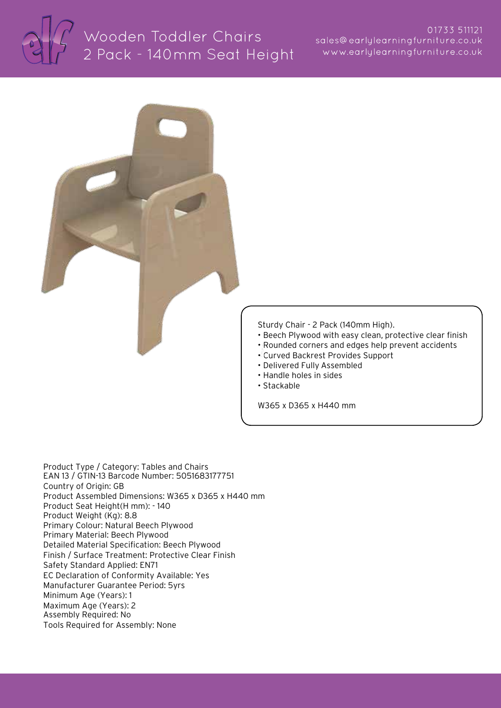



Product Type / Category: Tables and Chairs EAN 13 / GTIN-13 Barcode Number: 5051683177751 Country of Origin: GB Product Assembled Dimensions: W365 x D365 x H440 mm Product Seat Height(H mm): - 140 Product Weight (Kg): 8.8 Primary Colour: Natural Beech Plywood Primary Material: Beech Plywood Detailed Material Specification: Beech Plywood Finish / Surface Treatment: Protective Clear Finish Safety Standard Applied: EN71 EC Declaration of Conformity Available: Yes Manufacturer Guarantee Period: 5yrs Minimum Age (Years): 1 Maximum Age (Years): 2 Assembly Required: No Tools Required for Assembly: None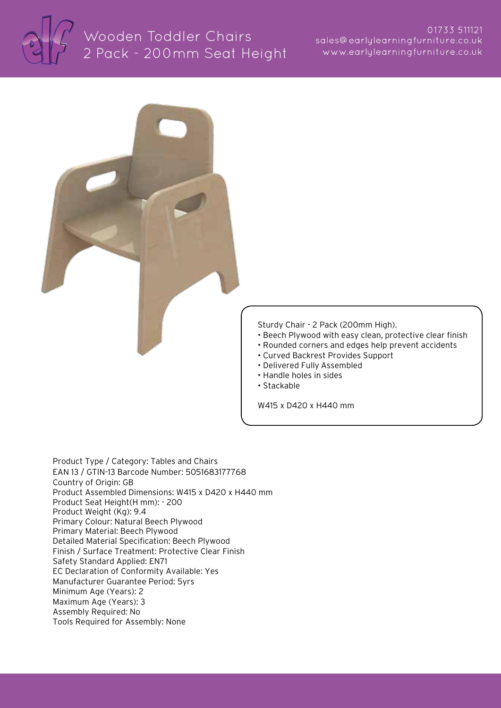

## Wooden Toddler Chairs 2 Pack - 200mm Seat Height



Product Type / Category: Tables and Chairs EAN 13 / GTIN-13 Barcode Number: 5051683177768 Country of Origin: GB Product Assembled Dimensions: W415 x D420 x H440 mm Product Seat Height(H mm): - 200 Product Weight (Kg): 9.4 Primary Colour: Natural Beech Plywood Primary Material: Beech Plywood Detailed Material Specification: Beech Plywood Finish / Surface Treatment: Protective Clear Finish Safety Standard Applied: EN71 EC Declaration of Conformity Available: Yes Manufacturer Guarantee Period: 5yrs Minimum Age (Years): 2 Maximum Age (Years): 3 Assembly Required: No Tools Required for Assembly: None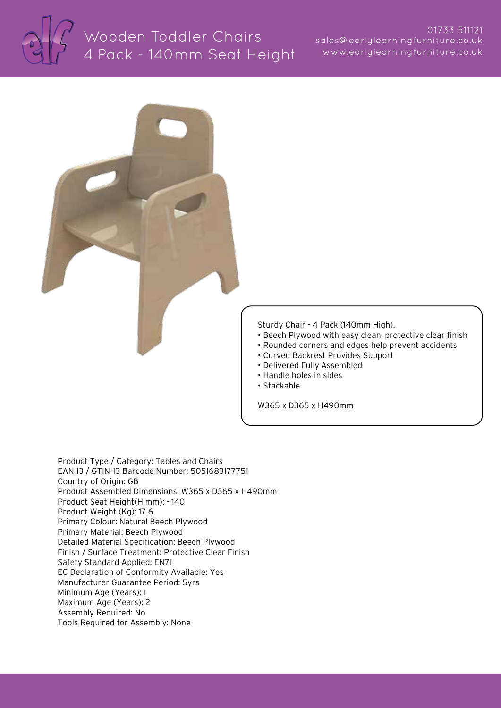



Product Type / Category: Tables and Chairs EAN 13 / GTIN-13 Barcode Number: 5051683177751 Country of Origin: GB Product Assembled Dimensions: W365 x D365 x H490mm Product Seat Height(H mm): - 140 Product Weight (Kg): 17.6 Primary Colour: Natural Beech Plywood Primary Material: Beech Plywood Detailed Material Specification: Beech Plywood Finish / Surface Treatment: Protective Clear Finish Safety Standard Applied: EN71 EC Declaration of Conformity Available: Yes Manufacturer Guarantee Period: 5yrs Minimum Age (Years): 1 Maximum Age (Years): 2 Assembly Required: No Tools Required for Assembly: None